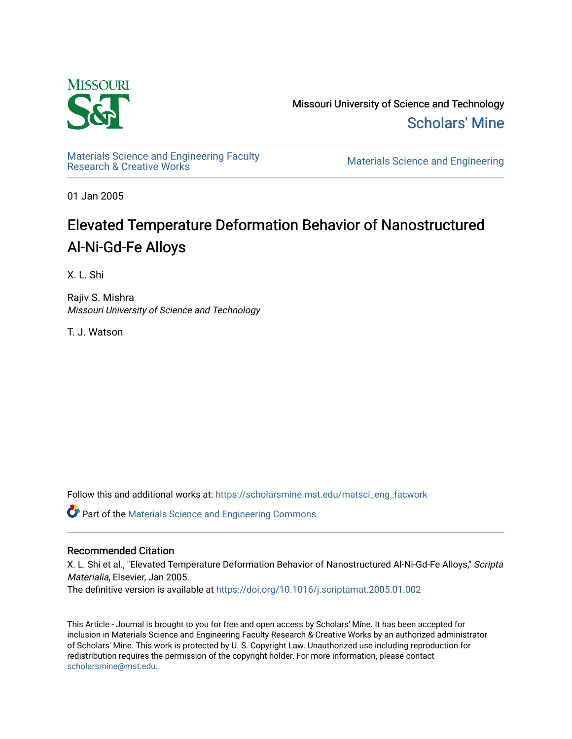

Missouri University of Science and Technology [Scholars' Mine](https://scholarsmine.mst.edu/) 

Materials Science and Engineering Faculty<br>Research & Creative Works

Materials Science and Engineering

01 Jan 2005

# Elevated Temperature Deformation Behavior of Nanostructured Al-Ni-Gd-Fe Alloys

X. L. Shi

Rajiv S. Mishra Missouri University of Science and Technology

T. J. Watson

Follow this and additional works at: [https://scholarsmine.mst.edu/matsci\\_eng\\_facwork](https://scholarsmine.mst.edu/matsci_eng_facwork?utm_source=scholarsmine.mst.edu%2Fmatsci_eng_facwork%2F1434&utm_medium=PDF&utm_campaign=PDFCoverPages) 

**C** Part of the Materials Science and Engineering Commons

### Recommended Citation

X. L. Shi et al., "Elevated Temperature Deformation Behavior of Nanostructured Al-Ni-Gd-Fe Alloys," Scripta Materialia, Elsevier, Jan 2005.

The definitive version is available at <https://doi.org/10.1016/j.scriptamat.2005.01.002>

This Article - Journal is brought to you for free and open access by Scholars' Mine. It has been accepted for inclusion in Materials Science and Engineering Faculty Research & Creative Works by an authorized administrator of Scholars' Mine. This work is protected by U. S. Copyright Law. Unauthorized use including reproduction for redistribution requires the permission of the copyright holder. For more information, please contact [scholarsmine@mst.edu.](mailto:scholarsmine@mst.edu)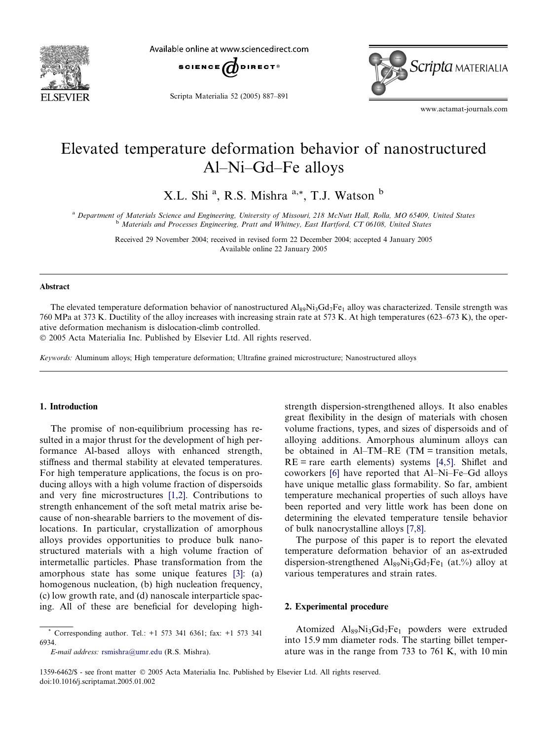

Available online at www.sciencedirect.com



Scripta Materialia 52 (2005) 887–891



www.actamat-journals.com

## Elevated temperature deformation behavior of nanostructured Al–Ni–Gd–Fe alloys

X.L. Shi <sup>a</sup>, R.S. Mishra <sup>a,\*</sup>, T.J. Watson <sup>b</sup>

a Department of Materials Science and Engineering, University of Missouri, 218 McNutt Hall, Rolla, MO 65409, United States b Materials and Processes Engineering, Pratt and Whitney, East Hartford, CT 06108, United States

Received 29 November 2004; received in revised form 22 December 2004; accepted 4 January 2005 Available online 22 January 2005

#### Abstract

The elevated temperature deformation behavior of nanostructured  $Al_89Ni_3Gd_7Fe_1$  alloy was characterized. Tensile strength was 760 MPa at 373 K. Ductility of the alloy increases with increasing strain rate at 573 K. At high temperatures (623–673 K), the operative deformation mechanism is dislocation-climb controlled.

2005 Acta Materialia Inc. Published by Elsevier Ltd. All rights reserved.

Keywords: Aluminum alloys; High temperature deformation; Ultrafine grained microstructure; Nanostructured alloys

#### 1. Introduction

The promise of non-equilibrium processing has resulted in a major thrust for the development of high performance Al-based alloys with enhanced strength, stiffness and thermal stability at elevated temperatures. For high temperature applications, the focus is on producing alloys with a high volume fraction of dispersoids and very fine microstructures [\[1,2\].](#page-5-0) Contributions to strength enhancement of the soft metal matrix arise because of non-shearable barriers to the movement of dislocations. In particular, crystallization of amorphous alloys provides opportunities to produce bulk nanostructured materials with a high volume fraction of intermetallic particles. Phase transformation from the amorphous state has some unique features [\[3\]:](#page-5-0) (a) homogenous nucleation, (b) high nucleation frequency, (c) low growth rate, and (d) nanoscale interparticle spacing. All of these are beneficial for developing high-

E-mail address: [rsmishra@umr.edu](mailto:rsmishra@umr.edu ) (R.S. Mishra).

strength dispersion-strengthened alloys. It also enables great flexibility in the design of materials with chosen volume fractions, types, and sizes of dispersoids and of alloying additions. Amorphous aluminum alloys can be obtained in  $AI-TM-RE$  (TM = transition metals,  $RE = rare$  earth elements) systems [\[4,5\]](#page-5-0). Shiflet and coworkers [\[6\]](#page-5-0) have reported that Al–Ni–Fe–Gd alloys have unique metallic glass formability. So far, ambient temperature mechanical properties of such alloys have been reported and very little work has been done on determining the elevated temperature tensile behavior of bulk nanocrystalline alloys [\[7,8\].](#page-5-0)

The purpose of this paper is to report the elevated temperature deformation behavior of an as-extruded dispersion-strengthened  $Al_{89}Ni_3Gd_7Fe_1$  (at.%) alloy at various temperatures and strain rates.

#### 2. Experimental procedure

Atomized  $\text{Al}_{89}\text{Ni}_3\text{Gd}_7\text{Fe}_1$  powders were extruded into 15.9 mm diameter rods. The starting billet temperature was in the range from 733 to 761 K, with 10 min

<sup>\*</sup> Corresponding author. Tel.: +1 573 341 6361; fax: +1 573 341 6934.

<sup>1359-6462/\$ -</sup> see front matter 2005 Acta Materialia Inc. Published by Elsevier Ltd. All rights reserved. doi:10.1016/j.scriptamat.2005.01.002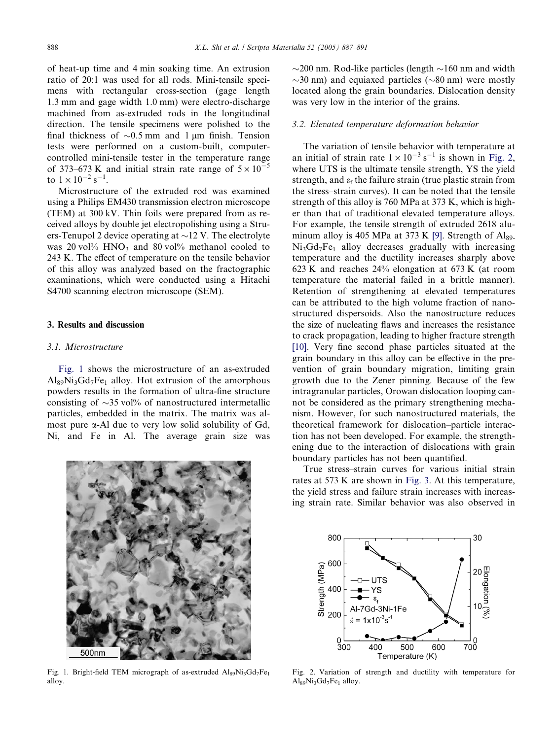of heat-up time and 4 min soaking time. An extrusion ratio of 20:1 was used for all rods. Mini-tensile specimens with rectangular cross-section (gage length 1.3 mm and gage width 1.0 mm) were electro-discharge machined from as-extruded rods in the longitudinal direction. The tensile specimens were polished to the final thickness of  $\sim 0.5$  mm and 1 µm finish. Tension tests were performed on a custom-built, computercontrolled mini-tensile tester in the temperature range of 373–673 K and initial strain rate range of  $5 \times 10^{-5}$ to  $1 \times 10^{-2}$  s<sup>-1</sup>.

Microstructure of the extruded rod was examined using a Philips EM430 transmission electron microscope (TEM) at 300 kV. Thin foils were prepared from as received alloys by double jet electropolishing using a Struers-Tenupol 2 device operating at  $\sim$ 12 V. The electrolyte was 20 vol%  $HNO<sub>3</sub>$  and 80 vol% methanol cooled to 243 K. The effect of temperature on the tensile behavior of this alloy was analyzed based on the fractographic examinations, which were conducted using a Hitachi S4700 scanning electron microscope (SEM).

#### 3. Results and discussion

#### 3.1. Microstructure

Fig. 1 shows the microstructure of an as-extruded  $Al_{89}Ni_3Gd_7Fe_1$  alloy. Hot extrusion of the amorphous powders results in the formation of ultra-fine structure consisting of  $\sim$ 35 vol% of nanostructured intermetallic particles, embedded in the matrix. The matrix was almost pure a-Al due to very low solid solubility of Gd, Ni, and Fe in Al. The average grain size was



Fig. 1. Bright-field TEM micrograph of as-extruded  $Al_{89}Ni_3Gd_7Fe_1$ alloy.

 $\sim$ 200 nm. Rod-like particles (length  $\sim$ 160 nm and width  $\sim$ 30 nm) and equiaxed particles ( $\sim$ 80 nm) were mostly located along the grain boundaries. Dislocation density was very low in the interior of the grains.

#### 3.2. Elevated temperature deformation behavior

The variation of tensile behavior with temperature at an initial of strain rate  $1 \times 10^{-3}$  s<sup>-1</sup> is shown in Fig. 2, where UTS is the ultimate tensile strength, YS the yield strength, and  $\varepsilon_f$  the failure strain (true plastic strain from the stress–strain curves). It can be noted that the tensile strength of this alloy is 760 MPa at 373 K, which is higher than that of traditional elevated temperature alloys. For example, the tensile strength of extruded 2618 alu-minum alloy is 405 MPa at 373 K [\[9\]](#page-5-0). Strength of  $Al_{89}$  $Ni<sub>3</sub>Gd<sub>7</sub>Fe<sub>1</sub>$  alloy decreases gradually with increasing temperature and the ductility increases sharply above 623 K and reaches 24% elongation at 673 K (at room temperature the material failed in a brittle manner). Retention of strengthening at elevated temperatures can be attributed to the high volume fraction of nanostructured dispersoids. Also the nanostructure reduces the size of nucleating flaws and increases the resistance to crack propagation, leading to higher fracture strength [\[10\]](#page-5-0). Very fine second phase particles situated at the grain boundary in this alloy can be effective in the prevention of grain boundary migration, limiting grain growth due to the Zener pinning. Because of the few intragranular particles, Orowan dislocation looping cannot be considered as the primary strengthening mechanism. However, for such nanostructured materials, the theoretical framework for dislocation–particle interaction has not been developed. For example, the strengthening due to the interaction of dislocations with grain boundary particles has not been quantified.

True stress–strain curves for various initial strain rates at 573 K are shown in [Fig. 3](#page-3-0). At this temperature, the yield stress and failure strain increases with increasing strain rate. Similar behavior was also observed in



Fig. 2. Variation of strength and ductility with temperature for Al<sub>89</sub>Ni<sub>3</sub>Gd<sub>7</sub>Fe<sub>1</sub> alloy.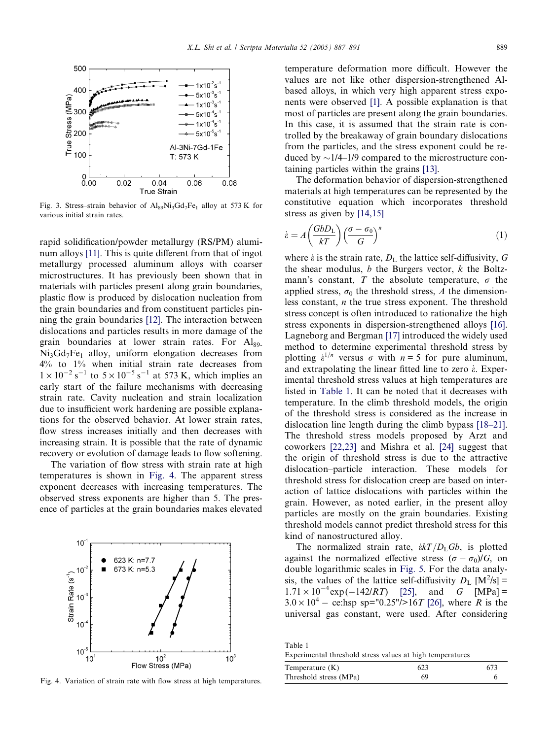<span id="page-3-0"></span>

Fig. 3. Stress–strain behavior of  $\text{Alg}_9\text{Ni}_3\text{Gd}_7\text{Fe}_1$  alloy at 573 K for various initial strain rates.

rapid solidification/powder metallurgy (RS/PM) aluminum alloys [\[11\]](#page-5-0). This is quite different from that of ingot metallurgy processed aluminum alloys with coarser microstructures. It has previously been shown that in materials with particles present along grain boundaries, plastic flow is produced by dislocation nucleation from the grain boundaries and from constituent particles pinning the grain boundaries [\[12\]](#page-5-0). The interaction between dislocations and particles results in more damage of the grain boundaries at lower strain rates. For  $\mathbf{Al}_{89}$  $Ni<sub>3</sub>Gd<sub>7</sub>Fe<sub>1</sub>$  alloy, uniform elongation decreases from 4% to 1% when initial strain rate decreases from  $1 \times 10^{-2}$  s<sup>-1</sup> to  $5 \times 10^{-5}$  s<sup>-1</sup> at 573 K, which implies an early start of the failure mechanisms with decreasing strain rate. Cavity nucleation and strain localization due to insufficient work hardening are possible explanations for the observed behavior. At lower strain rates, flow stress increases initially and then decreases with increasing strain. It is possible that the rate of dynamic recovery or evolution of damage leads to flow softening.

The variation of flow stress with strain rate at high temperatures is shown in Fig. 4. The apparent stress exponent decreases with increasing temperatures. The observed stress exponents are higher than 5. The presence of particles at the grain boundaries makes elevated



Fig. 4. Variation of strain rate with flow stress at high temperatures.

temperature deformation more difficult. However the values are not like other dispersion-strengthened Albased alloys, in which very high apparent stress exponents were observed [\[1\].](#page-5-0) A possible explanation is that most of particles are present along the grain boundaries. In this case, it is assumed that the strain rate is controlled by the breakaway of grain boundary dislocations from the particles, and the stress exponent could be reduced by  $\sim$ 1/4–1/9 compared to the microstructure containing particles within the grains [\[13\].](#page-5-0)

The deformation behavior of dispersion-strengthened materials at high temperatures can be represented by the constitutive equation which incorporates threshold stress as given by [\[14,15\]](#page-5-0)

$$
\dot{\varepsilon} = A \left( \frac{GbD_{\rm L}}{kT} \right) \left( \frac{\sigma - \sigma_0}{G} \right)^n \tag{1}
$$

where  $\dot{\varepsilon}$  is the strain rate,  $D_L$  the lattice self-diffusivity, G the shear modulus,  $b$  the Burgers vector,  $k$  the Boltzmann's constant, T the absolute temperature,  $\sigma$  the applied stress,  $\sigma_0$  the threshold stress, A the dimensionless constant, n the true stress exponent. The threshold stress concept is often introduced to rationalize the high stress exponents in dispersion-strengthened alloys [\[16\].](#page-5-0) Lagneborg and Bergman [\[17\]](#page-5-0) introduced the widely used method to determine experimental threshold stress by plotting  $\dot{\epsilon}^{1/n}$  versus  $\sigma$  with  $n = 5$  for pure aluminum, and extrapolating the linear fitted line to zero  $\dot{\epsilon}$ . Experimental threshold stress values at high temperatures are listed in Table 1. It can be noted that it decreases with temperature. In the climb threshold models, the origin of the threshold stress is considered as the increase in dislocation line length during the climb bypass [\[18–21\].](#page-5-0) The threshold stress models proposed by Arzt and coworkers [\[22,23\]](#page-5-0) and Mishra et al. [\[24\]](#page-5-0) suggest that the origin of threshold stress is due to the attractive dislocation–particle interaction. These models for threshold stress for dislocation creep are based on interaction of lattice dislocations with particles within the grain. However, as noted earlier, in the present alloy particles are mostly on the grain boundaries. Existing threshold models cannot predict threshold stress for this kind of nanostructured alloy.

The normalized strain rate,  $\frac{\partial k}{\partial L}G_b$ , is plotted against the normalized effective stress  $(\sigma - \sigma_0)/G$ , on double logarithmic scales in [Fig. 5](#page-4-0). For the data analysis, the values of the lattice self-diffusivity  $D_L$  [M<sup>2</sup>/s] =  $1.71 \times 10^{-4}$  exp(and G  $[MPa] =$  $3.0 \times 10^{4}$  – ce:hsp sp="0.25"/>16T [\[26\]](#page-5-0), where R is the universal gas constant, were used. After considering

Table 1 Experimental threshold stress values at high temperatures

| Temperature $(K)$      | 623 | 673 |
|------------------------|-----|-----|
| Threshold stress (MPa) | 69  |     |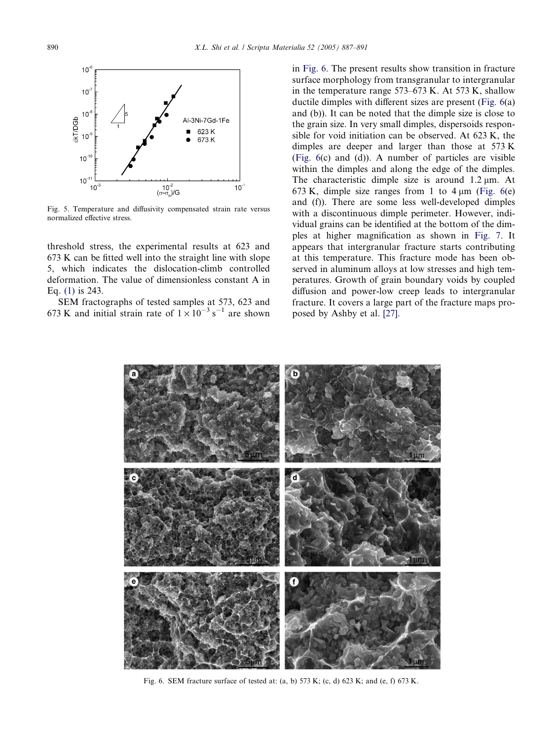<span id="page-4-0"></span>

Fig. 5. Temperature and diffusivity compensated strain rate versus normalized effective stress.

threshold stress, the experimental results at 623 and 673 K can be fitted well into the straight line with slope 5, which indicates the dislocation-climb controlled deformation. The value of dimensionless constant A in Eq. [\(1\)](#page-3-0) is 243.

SEM fractographs of tested samples at 573, 623 and 673 K and initial strain rate of  $1 \times 10^{-3}$  s<sup>-1</sup> are shown

in Fig. 6. The present results show transition in fracture surface morphology from transgranular to intergranular in the temperature range 573–673 K. At 573 K, shallow ductile dimples with different sizes are present (Fig. 6(a) and (b)). It can be noted that the dimple size is close to the grain size. In very small dimples, dispersoids responsible for void initiation can be observed. At 623 K, the dimples are deeper and larger than those at 573 K (Fig. 6(c) and (d)). A number of particles are visible within the dimples and along the edge of the dimples. The characteristic dimple size is around 1.2 um. At 673 K, dimple size ranges from 1 to  $4 \mu m$  (Fig. 6(e) and (f)). There are some less well-developed dimples with a discontinuous dimple perimeter. However, individual grains can be identified at the bottom of the dimples at higher magnification as shown in [Fig. 7](#page-5-0). It appears that intergranular fracture starts contributing at this temperature. This fracture mode has been observed in aluminum alloys at low stresses and high temperatures. Growth of grain boundary voids by coupled diffusion and power-low creep leads to intergranular fracture. It covers a large part of the fracture maps proposed by Ashby et al. [\[27\].](#page-5-0)



Fig. 6. SEM fracture surface of tested at: (a, b) 573 K; (c, d) 623 K; and (e, f) 673 K.